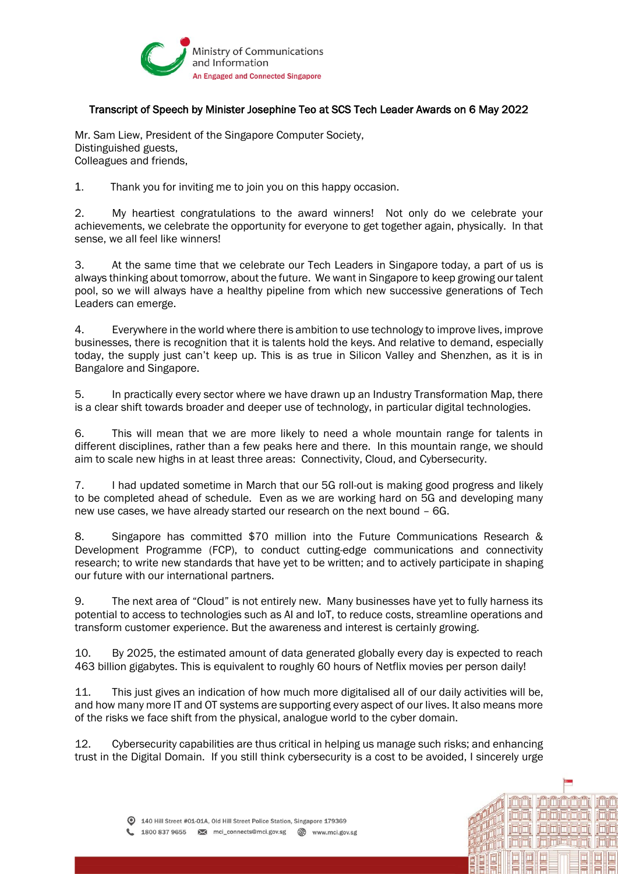

## Transcript of Speech by Minister Josephine Teo at SCS Tech Leader Awards on 6 May 2022

Mr. Sam Liew, President of the Singapore Computer Society, Distinguished guests, Colleagues and friends,

1. Thank you for inviting me to join you on this happy occasion.

2. My heartiest congratulations to the award winners! Not only do we celebrate your achievements, we celebrate the opportunity for everyone to get together again, physically. In that sense, we all feel like winners!

3. At the same time that we celebrate our Tech Leaders in Singapore today, a part of us is always thinking about tomorrow, about the future. We want in Singapore to keep growing our talent pool, so we will always have a healthy pipeline from which new successive generations of Tech Leaders can emerge.

4. Everywhere in the world where there is ambition to use technology to improve lives, improve businesses, there is recognition that it is talents hold the keys. And relative to demand, especially today, the supply just can't keep up. This is as true in Silicon Valley and Shenzhen, as it is in Bangalore and Singapore.

5. In practically every sector where we have drawn up an Industry Transformation Map, there is a clear shift towards broader and deeper use of technology, in particular digital technologies.

6. This will mean that we are more likely to need a whole mountain range for talents in different disciplines, rather than a few peaks here and there. In this mountain range, we should aim to scale new highs in at least three areas: Connectivity, Cloud, and Cybersecurity.

7. I had updated sometime in March that our 5G roll-out is making good progress and likely to be completed ahead of schedule. Even as we are working hard on 5G and developing many new use cases, we have already started our research on the next bound – 6G.

8. Singapore has committed \$70 million into the Future Communications Research & Development Programme (FCP), to conduct cutting-edge communications and connectivity research; to write new standards that have yet to be written; and to actively participate in shaping our future with our international partners.

9. The next area of "Cloud" is not entirely new. Many businesses have yet to fully harness its potential to access to technologies such as AI and IoT, to reduce costs, streamline operations and transform customer experience. But the awareness and interest is certainly growing.

10. By 2025, the estimated amount of data generated globally every day is expected to reach 463 billion gigabytes. This is equivalent to roughly 60 hours of Netflix movies per person daily!

11. This just gives an indication of how much more digitalised all of our daily activities will be, and how many more IT and OT systems are supporting every aspect of our lives. It also means more of the risks we face shift from the physical, analogue world to the cyber domain.

12. Cybersecurity capabilities are thus critical in helping us manage such risks; and enhancing trust in the Digital Domain. If you still think cybersecurity is a cost to be avoided, I sincerely urge

<u>i Di Di Di Di Di</u>

**inininatin** 

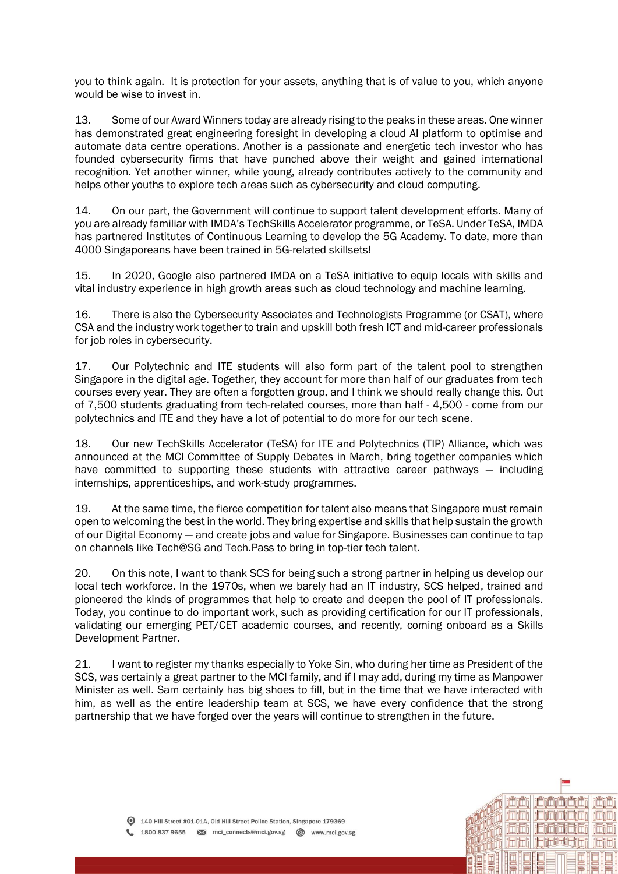you to think again. It is protection for your assets, anything that is of value to you, which anyone would be wise to invest in.

13. Some of our Award Winners today are already rising to the peaks in these areas. One winner has demonstrated great engineering foresight in developing a cloud AI platform to optimise and automate data centre operations. Another is a passionate and energetic tech investor who has founded cybersecurity firms that have punched above their weight and gained international recognition. Yet another winner, while young, already contributes actively to the community and helps other youths to explore tech areas such as cybersecurity and cloud computing.

14. On our part, the Government will continue to support talent development efforts. Many of you are already familiar with IMDA's TechSkills Accelerator programme, or TeSA. Under TeSA, IMDA has partnered Institutes of Continuous Learning to develop the 5G Academy. To date, more than 4000 Singaporeans have been trained in 5G-related skillsets!

15. In 2020, Google also partnered IMDA on a TeSA initiative to equip locals with skills and vital industry experience in high growth areas such as cloud technology and machine learning.

16. There is also the Cybersecurity Associates and Technologists Programme (or CSAT), where CSA and the industry work together to train and upskill both fresh ICT and mid-career professionals for job roles in cybersecurity.

17. Our Polytechnic and ITE students will also form part of the talent pool to strengthen Singapore in the digital age. Together, they account for more than half of our graduates from tech courses every year. They are often a forgotten group, and I think we should really change this. Out of 7,500 students graduating from tech-related courses, more than half - 4,500 - come from our polytechnics and ITE and they have a lot of potential to do more for our tech scene.

18. Our new TechSkills Accelerator (TeSA) for ITE and Polytechnics (TIP) Alliance, which was announced at the MCI Committee of Supply Debates in March, bring together companies which have committed to supporting these students with attractive career pathways — including internships, apprenticeships, and work-study programmes.

19. At the same time, the fierce competition for talent also means that Singapore must remain open to welcoming the best in the world. They bring expertise and skills that help sustain the growth of our Digital Economy — and create jobs and value for Singapore. Businesses can continue to tap on channels like Tech@SG and Tech.Pass to bring in top-tier tech talent.

20. On this note, I want to thank SCS for being such a strong partner in helping us develop our local tech workforce. In the 1970s, when we barely had an IT industry, SCS helped, trained and pioneered the kinds of programmes that help to create and deepen the pool of IT professionals. Today, you continue to do important work, such as providing certification for our IT professionals, validating our emerging PET/CET academic courses, and recently, coming onboard as a Skills Development Partner.

21. I want to register my thanks especially to Yoke Sin, who during her time as President of the SCS, was certainly a great partner to the MCI family, and if I may add, during my time as Manpower Minister as well. Sam certainly has big shoes to fill, but in the time that we have interacted with him, as well as the entire leadership team at SCS, we have every confidence that the strong partnership that we have forged over the years will continue to strengthen in the future.

ni Til i Til i

<u>inininini</u>

**idinininini**